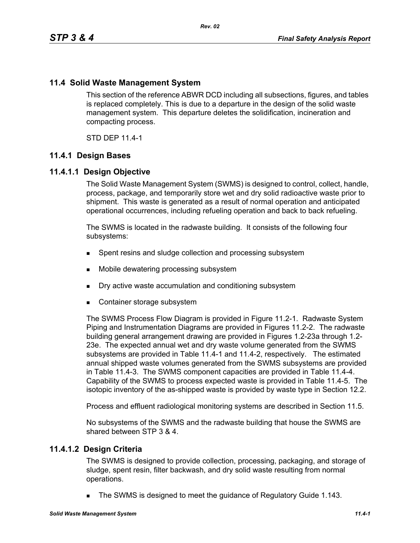## **11.4 Solid Waste Management System**

This section of the reference ABWR DCD including all subsections, figures, and tables is replaced completely. This is due to a departure in the design of the solid waste management system. This departure deletes the solidification, incineration and compacting process.

STD DEP 11.4-1

## **11.4.1 Design Bases**

## **11.4.1.1 Design Objective**

The Solid Waste Management System (SWMS) is designed to control, collect, handle, process, package, and temporarily store wet and dry solid radioactive waste prior to shipment. This waste is generated as a result of normal operation and anticipated operational occurrences, including refueling operation and back to back refueling.

The SWMS is located in the radwaste building. It consists of the following four subsystems:

- **Spent resins and sludge collection and processing subsystem**
- Mobile dewatering processing subsystem
- Dry active waste accumulation and conditioning subsystem
- Container storage subsystem

The SWMS Process Flow Diagram is provided in Figure 11.2-1. Radwaste System Piping and Instrumentation Diagrams are provided in Figures 11.2-2. The radwaste building general arrangement drawing are provided in Figures 1.2-23a through 1.2- 23e. The expected annual wet and dry waste volume generated from the SWMS subsystems are provided in Table 11.4-1 and 11.4-2, respectively. The estimated annual shipped waste volumes generated from the SWMS subsystems are provided in Table 11.4-3. The SWMS component capacities are provided in Table 11.4-4. Capability of the SWMS to process expected waste is provided in Table 11.4-5. The isotopic inventory of the as-shipped waste is provided by waste type in Section 12.2.

Process and effluent radiological monitoring systems are described in Section 11.5.

No subsystems of the SWMS and the radwaste building that house the SWMS are shared between STP 3 & 4.

## **11.4.1.2 Design Criteria**

The SWMS is designed to provide collection, processing, packaging, and storage of sludge, spent resin, filter backwash, and dry solid waste resulting from normal operations.

The SWMS is designed to meet the guidance of Regulatory Guide 1.143.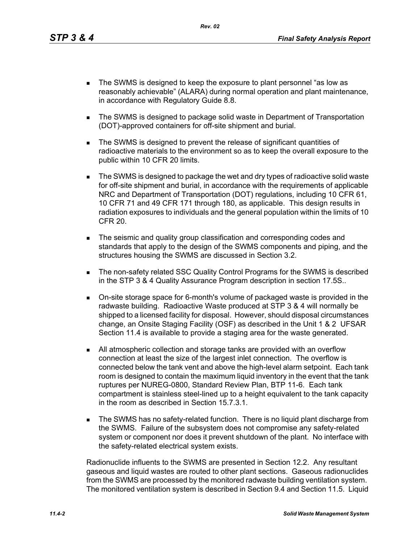- The SWMS is designed to keep the exposure to plant personnel "as low as reasonably achievable" (ALARA) during normal operation and plant maintenance, in accordance with Regulatory Guide 8.8.
- The SWMS is designed to package solid waste in Department of Transportation (DOT)-approved containers for off-site shipment and burial.
- The SWMS is designed to prevent the release of significant quantities of radioactive materials to the environment so as to keep the overall exposure to the public within 10 CFR 20 limits.
- The SWMS is designed to package the wet and dry types of radioactive solid waste for off-site shipment and burial, in accordance with the requirements of applicable NRC and Department of Transportation (DOT) regulations, including 10 CFR 61, 10 CFR 71 and 49 CFR 171 through 180, as applicable. This design results in radiation exposures to individuals and the general population within the limits of 10 CFR 20.
- The seismic and quality group classification and corresponding codes and standards that apply to the design of the SWMS components and piping, and the structures housing the SWMS are discussed in Section 3.2.
- **The non-safety related SSC Quality Control Programs for the SWMS is described** in the STP 3 & 4 Quality Assurance Program description in section 17.5S..
- On-site storage space for 6-month's volume of packaged waste is provided in the radwaste building. Radioactive Waste produced at STP 3 & 4 will normally be shipped to a licensed facility for disposal. However, should disposal circumstances change, an Onsite Staging Facility (OSF) as described in the Unit 1 & 2 UFSAR Section 11.4 is available to provide a staging area for the waste generated.
- All atmospheric collection and storage tanks are provided with an overflow connection at least the size of the largest inlet connection. The overflow is connected below the tank vent and above the high-level alarm setpoint. Each tank room is designed to contain the maximum liquid inventory in the event that the tank ruptures per NUREG-0800, Standard Review Plan, BTP 11-6. Each tank compartment is stainless steel-lined up to a height equivalent to the tank capacity in the room as described in Section 15.7.3.1.
- **The SWMS has no safety-related function. There is no liquid plant discharge from** the SWMS. Failure of the subsystem does not compromise any safety-related system or component nor does it prevent shutdown of the plant. No interface with the safety-related electrical system exists.

Radionuclide influents to the SWMS are presented in Section 12.2. Any resultant gaseous and liquid wastes are routed to other plant sections. Gaseous radionuclides from the SWMS are processed by the monitored radwaste building ventilation system. The monitored ventilation system is described in Section 9.4 and Section 11.5. Liquid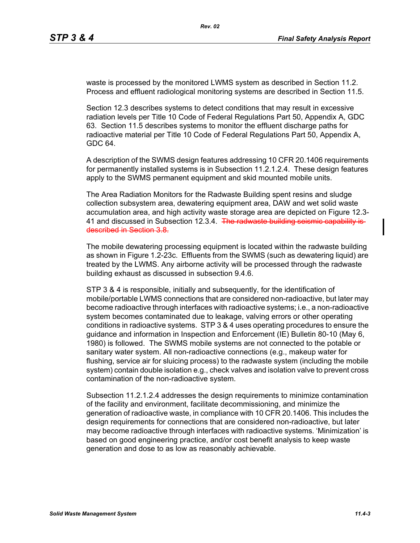waste is processed by the monitored LWMS system as described in Section 11.2. Process and effluent radiological monitoring systems are described in Section 11.5.

Section 12.3 describes systems to detect conditions that may result in excessive radiation levels per Title 10 Code of Federal Regulations Part 50, Appendix A, GDC 63. Section 11.5 describes systems to monitor the effluent discharge paths for radioactive material per Title 10 Code of Federal Regulations Part 50, Appendix A, GDC 64.

A description of the SWMS design features addressing 10 CFR 20.1406 requirements for permanently installed systems is in Subsection 11.2.1.2.4. These design features apply to the SWMS permanent equipment and skid mounted mobile units.

The Area Radiation Monitors for the Radwaste Building spent resins and sludge collection subsystem area, dewatering equipment area, DAW and wet solid waste accumulation area, and high activity waste storage area are depicted on Figure 12.3- 41 and discussed in Subsection 12.3.4. The radwaste building seismic capability is described in Section 3.8.

The mobile dewatering processing equipment is located within the radwaste building as shown in Figure 1.2-23c. Effluents from the SWMS (such as dewatering liquid) are treated by the LWMS. Any airborne activity will be processed through the radwaste building exhaust as discussed in subsection 9.4.6.

STP 3 & 4 is responsible, initially and subsequently, for the identification of mobile/portable LWMS connections that are considered non-radioactive, but later may become radioactive through interfaces with radioactive systems; i.e., a non-radioactive system becomes contaminated due to leakage, valving errors or other operating conditions in radioactive systems. STP 3 & 4 uses operating procedures to ensure the guidance and information in Inspection and Enforcement (IE) Bulletin 80-10 (May 6, 1980) is followed. The SWMS mobile systems are not connected to the potable or sanitary water system. All non-radioactive connections (e.g., makeup water for flushing, service air for sluicing process) to the radwaste system (including the mobile system) contain double isolation e.g., check valves and isolation valve to prevent cross contamination of the non-radioactive system.

Subsection 11.2.1.2.4 addresses the design requirements to minimize contamination of the facility and environment, facilitate decommissioning, and minimize the generation of radioactive waste, in compliance with 10 CFR 20.1406. This includes the design requirements for connections that are considered non-radioactive, but later may become radioactive through interfaces with radioactive systems. 'Minimization' is based on good engineering practice, and/or cost benefit analysis to keep waste generation and dose to as low as reasonably achievable.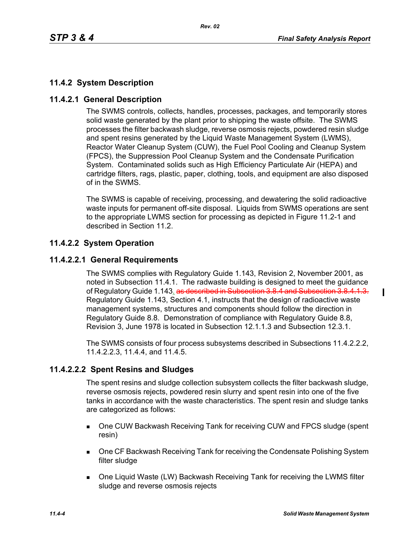# **11.4.2 System Description**

## **11.4.2.1 General Description**

The SWMS controls, collects, handles, processes, packages, and temporarily stores solid waste generated by the plant prior to shipping the waste offsite. The SWMS processes the filter backwash sludge, reverse osmosis rejects, powdered resin sludge and spent resins generated by the Liquid Waste Management System (LWMS), Reactor Water Cleanup System (CUW), the Fuel Pool Cooling and Cleanup System (FPCS), the Suppression Pool Cleanup System and the Condensate Purification System. Contaminated solids such as High Efficiency Particulate Air (HEPA) and cartridge filters, rags, plastic, paper, clothing, tools, and equipment are also disposed of in the SWMS.

The SWMS is capable of receiving, processing, and dewatering the solid radioactive waste inputs for permanent off-site disposal. Liquids from SWMS operations are sent to the appropriate LWMS section for processing as depicted in Figure 11.2-1 and described in Section 11.2.

# **11.4.2.2 System Operation**

## **11.4.2.2.1 General Requirements**

The SWMS complies with Regulatory Guide 1.143, Revision 2, November 2001, as noted in Subsection 11.4.1. The radwaste building is designed to meet the guidance of Regulatory Guide 1.143. as described in Subsection 3.8.4 and Subsection 3.8.4.1.3. Regulatory Guide 1.143, Section 4.1, instructs that the design of radioactive waste management systems, structures and components should follow the direction in Regulatory Guide 8.8. Demonstration of compliance with Regulatory Guide 8.8, Revision 3, June 1978 is located in Subsection 12.1.1.3 and Subsection 12.3.1.

The SWMS consists of four process subsystems described in Subsections 11.4.2.2.2, 11.4.2.2.3, 11.4.4, and 11.4.5.

# **11.4.2.2.2 Spent Resins and Sludges**

The spent resins and sludge collection subsystem collects the filter backwash sludge, reverse osmosis rejects, powdered resin slurry and spent resin into one of the five tanks in accordance with the waste characteristics. The spent resin and sludge tanks are categorized as follows:

- One CUW Backwash Receiving Tank for receiving CUW and FPCS sludge (spent resin)
- **DIE CF Backwash Receiving Tank for receiving the Condensate Polishing System** filter sludge
- One Liquid Waste (LW) Backwash Receiving Tank for receiving the LWMS filter sludge and reverse osmosis rejects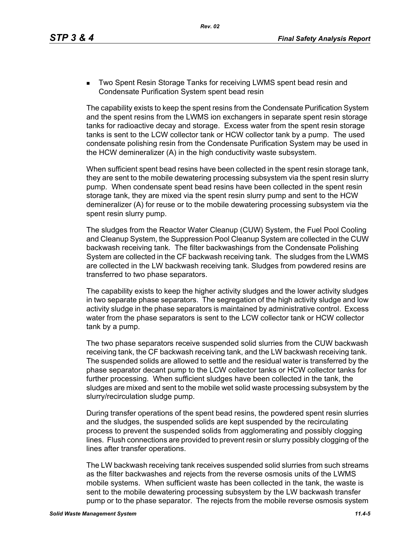**Two Spent Resin Storage Tanks for receiving LWMS spent bead resin and** Condensate Purification System spent bead resin

The capability exists to keep the spent resins from the Condensate Purification System and the spent resins from the LWMS ion exchangers in separate spent resin storage tanks for radioactive decay and storage. Excess water from the spent resin storage tanks is sent to the LCW collector tank or HCW collector tank by a pump. The used condensate polishing resin from the Condensate Purification System may be used in the HCW demineralizer (A) in the high conductivity waste subsystem.

When sufficient spent bead resins have been collected in the spent resin storage tank, they are sent to the mobile dewatering processing subsystem via the spent resin slurry pump. When condensate spent bead resins have been collected in the spent resin storage tank, they are mixed via the spent resin slurry pump and sent to the HCW demineralizer (A) for reuse or to the mobile dewatering processing subsystem via the spent resin slurry pump.

The sludges from the Reactor Water Cleanup (CUW) System, the Fuel Pool Cooling and Cleanup System, the Suppression Pool Cleanup System are collected in the CUW backwash receiving tank. The filter backwashings from the Condensate Polishing System are collected in the CF backwash receiving tank. The sludges from the LWMS are collected in the LW backwash receiving tank. Sludges from powdered resins are transferred to two phase separators.

The capability exists to keep the higher activity sludges and the lower activity sludges in two separate phase separators. The segregation of the high activity sludge and low activity sludge in the phase separators is maintained by administrative control. Excess water from the phase separators is sent to the LCW collector tank or HCW collector tank by a pump.

The two phase separators receive suspended solid slurries from the CUW backwash receiving tank, the CF backwash receiving tank, and the LW backwash receiving tank. The suspended solids are allowed to settle and the residual water is transferred by the phase separator decant pump to the LCW collector tanks or HCW collector tanks for further processing. When sufficient sludges have been collected in the tank, the sludges are mixed and sent to the mobile wet solid waste processing subsystem by the slurry/recirculation sludge pump.

During transfer operations of the spent bead resins, the powdered spent resin slurries and the sludges, the suspended solids are kept suspended by the recirculating process to prevent the suspended solids from agglomerating and possibly clogging lines. Flush connections are provided to prevent resin or slurry possibly clogging of the lines after transfer operations.

The LW backwash receiving tank receives suspended solid slurries from such streams as the filter backwashes and rejects from the reverse osmosis units of the LWMS mobile systems. When sufficient waste has been collected in the tank, the waste is sent to the mobile dewatering processing subsystem by the LW backwash transfer pump or to the phase separator. The rejects from the mobile reverse osmosis system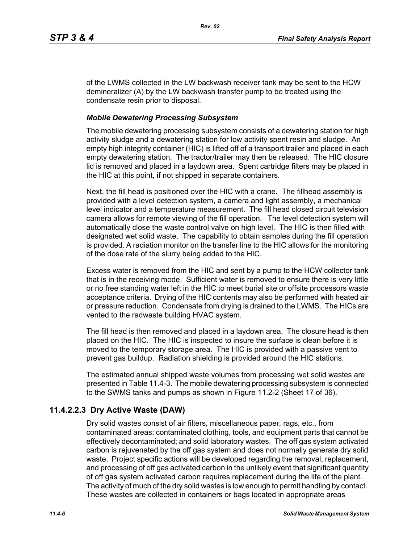of the LWMS collected in the LW backwash receiver tank may be sent to the HCW demineralizer (A) by the LW backwash transfer pump to be treated using the condensate resin prior to disposal.

## *Mobile Dewatering Processing Subsystem*

The mobile dewatering processing subsystem consists of a dewatering station for high activity sludge and a dewatering station for low activity spent resin and sludge. An empty high integrity container (HIC) is lifted off of a transport trailer and placed in each empty dewatering station. The tractor/trailer may then be released. The HIC closure lid is removed and placed in a laydown area. Spent cartridge filters may be placed in the HIC at this point, if not shipped in separate containers.

Next, the fill head is positioned over the HIC with a crane. The fillhead assembly is provided with a level detection system, a camera and light assembly, a mechanical level indicator and a temperature measurement. The fill head closed circuit television camera allows for remote viewing of the fill operation. The level detection system will automatically close the waste control valve on high level. The HIC is then filled with designated wet solid waste. The capability to obtain samples during the fill operation is provided. A radiation monitor on the transfer line to the HIC allows for the monitoring of the dose rate of the slurry being added to the HIC.

Excess water is removed from the HIC and sent by a pump to the HCW collector tank that is in the receiving mode. Sufficient water is removed to ensure there is very little or no free standing water left in the HIC to meet burial site or offsite processors waste acceptance criteria. Drying of the HIC contents may also be performed with heated air or pressure reduction. Condensate from drying is drained to the LWMS. The HICs are vented to the radwaste building HVAC system.

The fill head is then removed and placed in a laydown area. The closure head is then placed on the HIC. The HIC is inspected to insure the surface is clean before it is moved to the temporary storage area. The HIC is provided with a passive vent to prevent gas buildup. Radiation shielding is provided around the HIC stations.

The estimated annual shipped waste volumes from processing wet solid wastes are presented in Table 11.4-3. The mobile dewatering processing subsystem is connected to the SWMS tanks and pumps as shown in Figure 11.2-2 (Sheet 17 of 36).

# **11.4.2.2.3 Dry Active Waste (DAW)**

Dry solid wastes consist of air filters, miscellaneous paper, rags, etc., from contaminated areas; contaminated clothing, tools, and equipment parts that cannot be effectively decontaminated; and solid laboratory wastes. The off gas system activated carbon is rejuvenated by the off gas system and does not normally generate dry solid waste. Project specific actions will be developed regarding the removal, replacement, and processing of off gas activated carbon in the unlikely event that significant quantity of off gas system activated carbon requires replacement during the life of the plant. The activity of much of the dry solid wastes is low enough to permit handling by contact. These wastes are collected in containers or bags located in appropriate areas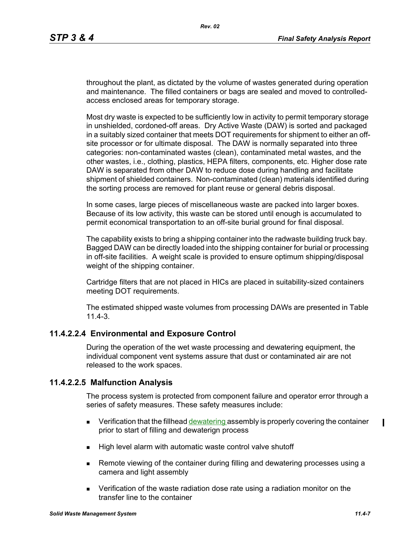throughout the plant, as dictated by the volume of wastes generated during operation and maintenance. The filled containers or bags are sealed and moved to controlledaccess enclosed areas for temporary storage.

Most dry waste is expected to be sufficiently low in activity to permit temporary storage in unshielded, cordoned-off areas. Dry Active Waste (DAW) is sorted and packaged in a suitably sized container that meets DOT requirements for shipment to either an offsite processor or for ultimate disposal. The DAW is normally separated into three categories: non-contaminated wastes (clean), contaminated metal wastes, and the other wastes, i.e., clothing, plastics, HEPA filters, components, etc. Higher dose rate DAW is separated from other DAW to reduce dose during handling and facilitate shipment of shielded containers. Non-contaminated (clean) materials identified during the sorting process are removed for plant reuse or general debris disposal.

In some cases, large pieces of miscellaneous waste are packed into larger boxes. Because of its low activity, this waste can be stored until enough is accumulated to permit economical transportation to an off-site burial ground for final disposal.

The capability exists to bring a shipping container into the radwaste building truck bay. Bagged DAW can be directly loaded into the shipping container for burial or processing in off-site facilities. A weight scale is provided to ensure optimum shipping/disposal weight of the shipping container.

Cartridge filters that are not placed in HICs are placed in suitability-sized containers meeting DOT requirements.

The estimated shipped waste volumes from processing DAWs are presented in Table 11.4-3.

# **11.4.2.2.4 Environmental and Exposure Control**

During the operation of the wet waste processing and dewatering equipment, the individual component vent systems assure that dust or contaminated air are not released to the work spaces.

## **11.4.2.2.5 Malfunction Analysis**

The process system is protected from component failure and operator error through a series of safety measures. These safety measures include:

- $\blacksquare$  Verification that the fillhead dewatering assembly is properly covering the container prior to start of filling and dewaterign process
- High level alarm with automatic waste control valve shutoff
- **Remote viewing of the container during filling and dewatering processes using a** camera and light assembly
- Verification of the waste radiation dose rate using a radiation monitor on the transfer line to the container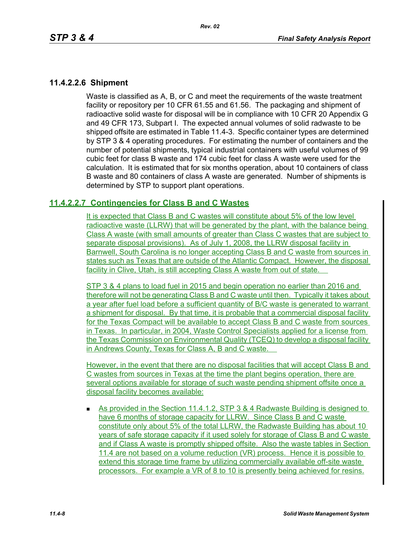## **11.4.2.2.6 Shipment**

Waste is classified as A, B, or C and meet the requirements of the waste treatment facility or repository per 10 CFR 61.55 and 61.56. The packaging and shipment of radioactive solid waste for disposal will be in compliance with 10 CFR 20 Appendix G and 49 CFR 173, Subpart I. The expected annual volumes of solid radwaste to be shipped offsite are estimated in Table 11.4-3. Specific container types are determined by STP 3 & 4 operating procedures. For estimating the number of containers and the number of potential shipments, typical industrial containers with useful volumes of 99 cubic feet for class B waste and 174 cubic feet for class A waste were used for the calculation. It is estimated that for six months operation, about 10 containers of class B waste and 80 containers of class A waste are generated. Number of shipments is determined by STP to support plant operations.

# **11.4.2.2.7 Contingencies for Class B and C Wastes**

It is expected that Class B and C wastes will constitute about 5% of the low level radioactive waste (LLRW) that will be generated by the plant, with the balance being Class A waste (with small amounts of greater than Class C wastes that are subject to separate disposal provisions). As of July 1, 2008, the LLRW disposal facility in Barnwell, South Carolina is no longer accepting Class B and C waste from sources in states such as Texas that are outside of the Atlantic Compact. However, the disposal facility in Clive, Utah, is still accepting Class A waste from out of state.

STP 3 & 4 plans to load fuel in 2015 and begin operation no earlier than 2016 and therefore will not be generating Class B and C waste until then. Typically it takes about a year after fuel load before a sufficient quantity of B/C waste is generated to warrant a shipment for disposal. By that time, it is probable that a commercial disposal facility for the Texas Compact will be available to accept Class B and C waste from sources in Texas. In particular, in 2004, Waste Control Specialists applied for a license from the Texas Commission on Environmental Quality (TCEQ) to develop a disposal facility in Andrews County, Texas for Class A, B and C waste.

However, in the event that there are no disposal facilities that will accept Class B and C wastes from sources in Texas at the time the plant begins operation, there are several options available for storage of such waste pending shipment offsite once a disposal facility becomes available:

**As provided in the Section 11.4.1.2, STP 3 & 4 Radwaste Building is designed to** have 6 months of storage capacity for LLRW. Since Class B and C waste constitute only about 5% of the total LLRW, the Radwaste Building has about 10 years of safe storage capacity if it used solely for storage of Class B and C waste and if Class A waste is promptly shipped offsite. Also the waste tables in Section 11.4 are not based on a volume reduction (VR) process. Hence it is possible to extend this storage time frame by utilizing commercially available off-site waste processors. For example a VR of 8 to 10 is presently being achieved for resins.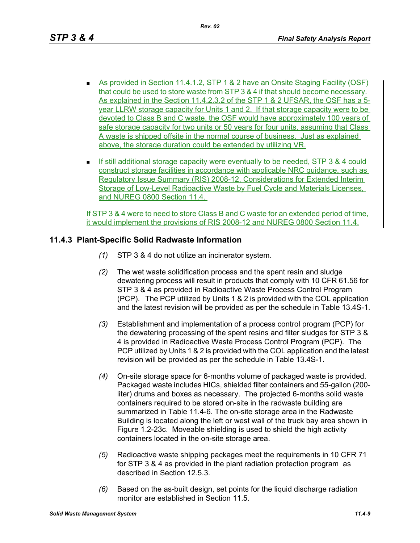- As provided in Section 11.4.1.2, STP 1 & 2 have an Onsite Staging Facility (OSF) that could be used to store waste from STP 3 & 4 if that should become necessary. As explained in the Section 11.4.2.3.2 of the STP 1 & 2 UFSAR, the OSF has a 5 year LLRW storage capacity for Units 1 and 2. If that storage capacity were to be devoted to Class B and C waste, the OSF would have approximately 100 years of safe storage capacity for two units or 50 years for four units, assuming that Class A waste is shipped offsite in the normal course of business. Just as explained above, the storage duration could be extended by utilizing VR.
- If still additional storage capacity were eventually to be needed, STP  $3 \& 4$  could construct storage facilities in accordance with applicable NRC guidance, such as Regulatory Issue Summary (RIS) 2008-12, Considerations for Extended Interim Storage of Low-Level Radioactive Waste by Fuel Cycle and Materials Licenses, and NUREG 0800 Section 11.4.

If STP 3 & 4 were to need to store Class B and C waste for an extended period of time, it would implement the provisions of RIS 2008-12 and NUREG 0800 Section 11.4.

# **11.4.3 Plant-Specific Solid Radwaste Information**

- *(1)* STP 3 & 4 do not utilize an incinerator system.
- *(2)* The wet waste solidification process and the spent resin and sludge dewatering process will result in products that comply with 10 CFR 61.56 for STP 3 & 4 as provided in Radioactive Waste Process Control Program (PCP). The PCP utilized by Units 1 & 2 is provided with the COL application and the latest revision will be provided as per the schedule in Table 13.4S-1.
- *(3)* Establishment and implementation of a process control program (PCP) for the dewatering processing of the spent resins and filter sludges for STP 3 & 4 is provided in Radioactive Waste Process Control Program (PCP). The PCP utilized by Units 1 & 2 is provided with the COL application and the latest revision will be provided as per the schedule in Table 13.4S-1.
- *(4)* On-site storage space for 6-months volume of packaged waste is provided. Packaged waste includes HICs, shielded filter containers and 55-gallon (200 liter) drums and boxes as necessary. The projected 6-months solid waste containers required to be stored on-site in the radwaste building are summarized in Table 11.4-6. The on-site storage area in the Radwaste Building is located along the left or west wall of the truck bay area shown in Figure 1.2-23c. Moveable shielding is used to shield the high activity containers located in the on-site storage area.
- *(5)* Radioactive waste shipping packages meet the requirements in 10 CFR 71 for STP 3 & 4 as provided in the plant radiation protection program as described in Section 12.5.3.
- *(6)* Based on the as-built design, set points for the liquid discharge radiation monitor are established in Section 11.5.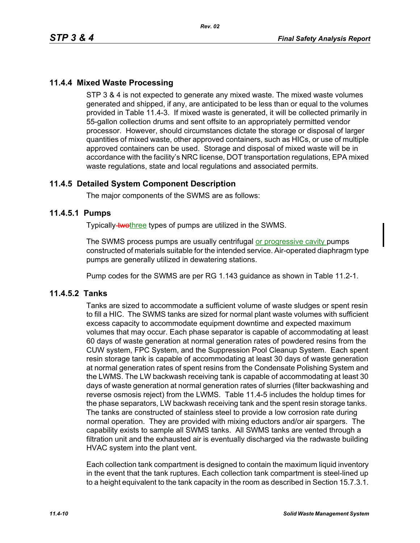# **11.4.4 Mixed Waste Processing**

STP 3 & 4 is not expected to generate any mixed waste. The mixed waste volumes generated and shipped, if any, are anticipated to be less than or equal to the volumes provided in Table 11.4-3. If mixed waste is generated, it will be collected primarily in 55-gallon collection drums and sent offsite to an appropriately permitted vendor processor. However, should circumstances dictate the storage or disposal of larger quantities of mixed waste, other approved containers, such as HICs, or use of multiple approved containers can be used. Storage and disposal of mixed waste will be in accordance with the facility's NRC license, DOT transportation regulations, EPA mixed waste regulations, state and local regulations and associated permits.

# **11.4.5 Detailed System Component Description**

The major components of the SWMS are as follows:

## **11.4.5.1 Pumps**

Typically-twothree types of pumps are utilized in the SWMS.

The SWMS process pumps are usually centrifugal or progressive cavity pumps constructed of materials suitable for the intended service. Air-operated diaphragm type pumps are generally utilized in dewatering stations.

Pump codes for the SWMS are per RG 1.143 guidance as shown in Table 11.2-1.

## **11.4.5.2 Tanks**

Tanks are sized to accommodate a sufficient volume of waste sludges or spent resin to fill a HIC. The SWMS tanks are sized for normal plant waste volumes with sufficient excess capacity to accommodate equipment downtime and expected maximum volumes that may occur. Each phase separator is capable of accommodating at least 60 days of waste generation at normal generation rates of powdered resins from the CUW system, FPC System, and the Suppression Pool Cleanup System. Each spent resin storage tank is capable of accommodating at least 30 days of waste generation at normal generation rates of spent resins from the Condensate Polishing System and the LWMS. The LW backwash receiving tank is capable of accommodating at least 30 days of waste generation at normal generation rates of slurries (filter backwashing and reverse osmosis reject) from the LWMS. Table 11.4-5 includes the holdup times for the phase separators, LW backwash receiving tank and the spent resin storage tanks. The tanks are constructed of stainless steel to provide a low corrosion rate during normal operation. They are provided with mixing eductors and/or air spargers. The capability exists to sample all SWMS tanks. All SWMS tanks are vented through a filtration unit and the exhausted air is eventually discharged via the radwaste building HVAC system into the plant vent.

Each collection tank compartment is designed to contain the maximum liquid inventory in the event that the tank ruptures. Each collection tank compartment is steel-lined up to a height equivalent to the tank capacity in the room as described in Section 15.7.3.1.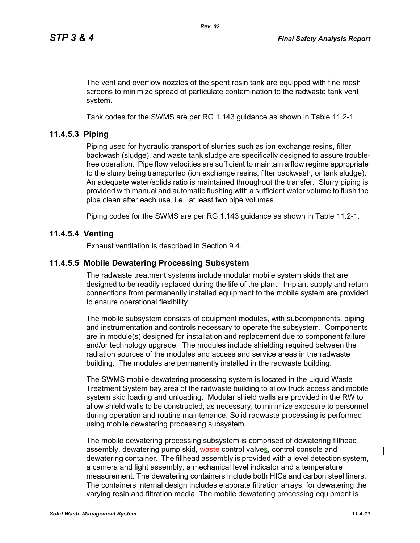The vent and overflow nozzles of the spent resin tank are equipped with fine mesh screens to minimize spread of particulate contamination to the radwaste tank vent system.

Tank codes for the SWMS are per RG 1.143 guidance as shown in Table 11.2-1.

## **11.4.5.3 Piping**

Piping used for hydraulic transport of slurries such as ion exchange resins, filter backwash (sludge), and waste tank sludge are specifically designed to assure troublefree operation. Pipe flow velocities are sufficient to maintain a flow regime appropriate to the slurry being transported (ion exchange resins, filter backwash, or tank sludge). An adequate water/solids ratio is maintained throughout the transfer. Slurry piping is provided with manual and automatic flushing with a sufficient water volume to flush the pipe clean after each use, i.e., at least two pipe volumes.

Piping codes for the SWMS are per RG 1.143 guidance as shown in Table 11.2-1.

## **11.4.5.4 Venting**

Exhaust ventilation is described in Section 9.4.

## **11.4.5.5 Mobile Dewatering Processing Subsystem**

The radwaste treatment systems include modular mobile system skids that are designed to be readily replaced during the life of the plant. In-plant supply and return connections from permanently installed equipment to the mobile system are provided to ensure operational flexibility.

The mobile subsystem consists of equipment modules, with subcomponents, piping and instrumentation and controls necessary to operate the subsystem. Components are in module(s) designed for installation and replacement due to component failure and/or technology upgrade. The modules include shielding required between the radiation sources of the modules and access and service areas in the radwaste building. The modules are permanently installed in the radwaste building.

The SWMS mobile dewatering processing system is located in the Liquid Waste Treatment System bay area of the radwaste building to allow truck access and mobile system skid loading and unloading. Modular shield walls are provided in the RW to allow shield walls to be constructed, as necessary, to minimize exposure to personnel during operation and routine maintenance. Solid radwaste processing is performed using mobile dewatering processing subsystem.

The mobile dewatering processing subsystem is comprised of dewatering fillhead assembly, dewatering pump skid, waste control valves, control console and dewatering container. The fillhead assembly is provided with a level detection system, a camera and light assembly, a mechanical level indicator and a temperature measurement. The dewatering containers include both HICs and carbon steel liners. The containers internal design includes elaborate filtration arrays, for dewatering the varying resin and filtration media. The mobile dewatering processing equipment is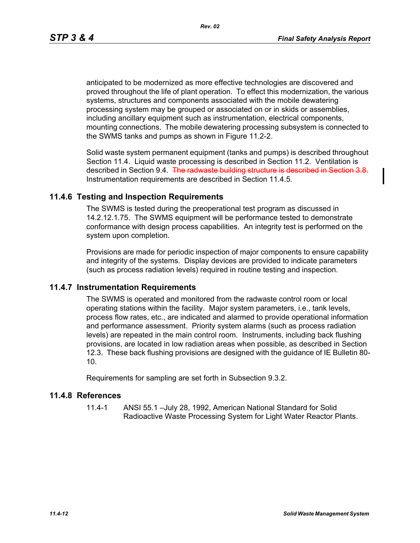anticipated to be modernized as more effective technologies are discovered and proved throughout the life of plant operation. To effect this modernization, the various systems, structures and components associated with the mobile dewatering processing system may be grouped or associated on or in skids or assemblies, including ancillary equipment such as instrumentation, electrical components, mounting connections. The mobile dewatering processing subsystem is connected to the SWMS tanks and pumps as shown in Figure 11.2-2.

Solid waste system permanent equipment (tanks and pumps) is described throughout Section 11.4. Liquid waste processing is described in Section 11.2. Ventilation is described in Section 9.4. The radwaste building structure is described in Section 3.8. Instrumentation requirements are described in Section 11.4.5.

# **11.4.6 Testing and Inspection Requirements**

The SWMS is tested during the preoperational test program as discussed in 14.2.12.1.75. The SWMS equipment will be performance tested to demonstrate conformance with design process capabilities. An integrity test is performed on the system upon completion.

Provisions are made for periodic inspection of major components to ensure capability and integrity of the systems. Display devices are provided to indicate parameters (such as process radiation levels) required in routine testing and inspection.

## **11.4.7 Instrumentation Requirements**

The SWMS is operated and monitored from the radwaste control room or local operating stations within the facility. Major system parameters, i.e., tank levels, process flow rates, etc., are indicated and alarmed to provide operational information and performance assessment. Priority system alarms (such as process radiation levels) are repeated in the main control room. Instruments, including back flushing provisions, are located in low radiation areas when possible, as described in Section 12.3. These back flushing provisions are designed with the guidance of IE Bulletin 80- 10.

Requirements for sampling are set forth in Subsection 9.3.2.

## **11.4.8 References**

11.4-1 ANSI 55.1 –July 28, 1992, American National Standard for Solid Radioactive Waste Processing System for Light Water Reactor Plants.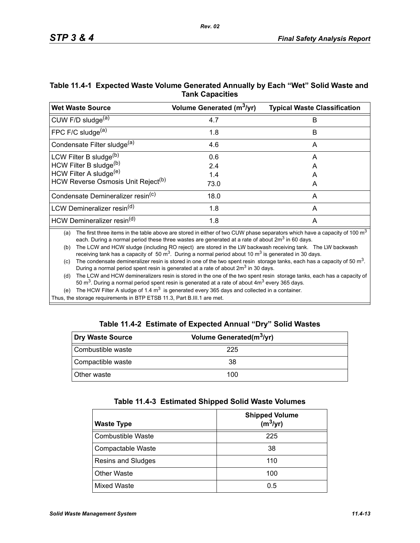| Table 11.4-1 Expected Waste Volume Generated Annually by Each "Wet" Solid Waste and |  |
|-------------------------------------------------------------------------------------|--|
| <b>Tank Capacities</b>                                                              |  |

| <b>Wet Waste Source</b>                        | Volume Generated (m <sup>3</sup> /yr) | <b>Typical Waste Classification</b> |
|------------------------------------------------|---------------------------------------|-------------------------------------|
| CUW F/D sludge <sup>(a)</sup>                  | 4.7                                   | B                                   |
| FPC F/C sludge $(a)$                           | 1.8                                   | B                                   |
| Condensate Filter sludge <sup>(a)</sup>        | 4.6                                   | A                                   |
| LCW Filter B sludge <sup>(b)</sup>             | 0.6                                   | A                                   |
| HCW Filter B sludge(b)                         | 2.4                                   | A                                   |
| HCW Filter A sludge <sup>(e)</sup>             | 1.4                                   | A                                   |
| HCW Reverse Osmosis Unit Reject <sup>(b)</sup> | 73.0                                  | A                                   |
| Condensate Demineralizer resin <sup>(c)</sup>  | 18.0                                  | A                                   |
| LCW Demineralizer resin <sup>(d)</sup>         | 1.8                                   | A                                   |
| HCW Demineralizer resin <sup>(d)</sup>         | 1.8                                   | A                                   |

(a) The first three items in the table above are stored in either of two CUW phase separators which have a capacity of 100  $m<sup>3</sup>$ each. During a normal period these three wastes are generated at a rate of about  $2m<sup>3</sup>$  in 60 days.

(b) The LCW and HCW sludge (including RO reject) are stored in the LW backwash receiving tank. The LW backwash receiving tank has a capacity of 50  $\text{m}^3$ . During a normal period about 10  $\text{m}^3$  is generated in 30 days.

(c) The condensate demineralizer resin is stored in one of the two spent resin storage tanks, each has a capacity of 50  $m<sup>3</sup>$ . During a normal period spent resin is generated at a rate of about 2m<sup>3</sup> in 30 days.

(d) The LCW and HCW demineralizers resin is stored in the one of the two spent resin storage tanks, each has a capacity of 50  $\text{m}^3$ . During a normal period spent resin is generated at a rate of about  $4\text{m}^3$  every 365 days.

(e) The HCW Filter A sludge of 1.4  $m<sup>3</sup>$  is generated every 365 days and collected in a container.

Thus, the storage requirements in BTP ETSB 11.3, Part B.III.1 are met.

|  | Table 11.4-2 Estimate of Expected Annual "Dry" Solid Wastes |  |  |  |
|--|-------------------------------------------------------------|--|--|--|
|--|-------------------------------------------------------------|--|--|--|

| Dry Waste Source   | Volume Generated(m <sup>3</sup> /yr) |  |
|--------------------|--------------------------------------|--|
| Combustible waste  | 225                                  |  |
| Compactible waste  | 38                                   |  |
| <b>Other waste</b> | 100                                  |  |

| Table 11.4-3 Estimated Shipped Solid Waste Volumes |  |  |  |  |  |
|----------------------------------------------------|--|--|--|--|--|
|----------------------------------------------------|--|--|--|--|--|

| <b>Waste Type</b>        | <b>Shipped Volume</b><br>$(m^3/yr)$ |
|--------------------------|-------------------------------------|
| <b>Combustible Waste</b> | 225                                 |
| Compactable Waste        | 38                                  |
| Resins and Sludges       | 110                                 |
| <b>Other Waste</b>       | 100                                 |
| Mixed Waste              | 0.5                                 |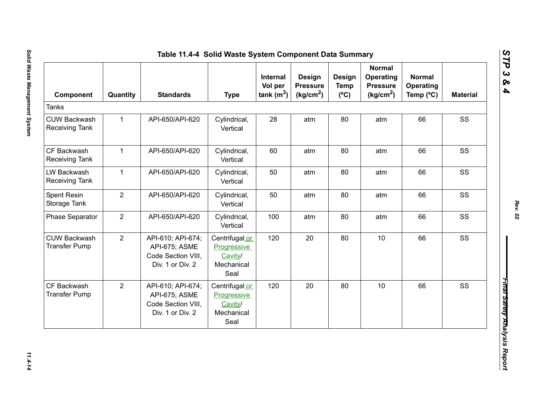| Component                                    | Quantity       | <b>Standards</b>                                                             | <b>Type</b>                                                           | Internal<br>Vol per<br>tank $(m^3)$ | <b>Design</b><br><b>Pressure</b><br>(kg/cm <sup>2</sup> ) | Design<br><b>Temp</b><br>$(^{\circ}C)$ | <b>Normal</b><br>Operating<br><b>Pressure</b><br>(kg/cm <sup>2</sup> ) | <b>Normal</b><br><b>Operating</b><br>Temp (°C) | <b>Material</b> |
|----------------------------------------------|----------------|------------------------------------------------------------------------------|-----------------------------------------------------------------------|-------------------------------------|-----------------------------------------------------------|----------------------------------------|------------------------------------------------------------------------|------------------------------------------------|-----------------|
| <b>Tanks</b>                                 |                |                                                                              |                                                                       |                                     |                                                           |                                        |                                                                        |                                                |                 |
| <b>CUW Backwash</b><br><b>Receiving Tank</b> | $\mathbf{1}$   | API-650/API-620                                                              | Cylindrical,<br>Vertical                                              | 28                                  | atm                                                       | 80                                     | atm                                                                    | 66                                             | SS              |
| CF Backwash<br><b>Receiving Tank</b>         | $\mathbf{1}$   | API-650/API-620                                                              | Cylindrical,<br>Vertical                                              | 60                                  | atm                                                       | 80                                     | atm                                                                    | 66                                             | SS              |
| LW Backwash<br><b>Receiving Tank</b>         | $\mathbf{1}$   | API-650/API-620                                                              | Cylindrical,<br>Vertical                                              | 50                                  | atm                                                       | 80                                     | atm                                                                    | 66                                             | SS              |
| Spent Resin<br>Storage Tank                  | $\overline{2}$ | API-650/API-620                                                              | Cylindrical,<br>Vertical                                              | 50                                  | atm                                                       | 80                                     | atm                                                                    | 66                                             | SS              |
| <b>Phase Separator</b>                       | $\overline{2}$ | API-650/API-620                                                              | Cylindrical,<br>Vertical                                              | 100                                 | atm                                                       | 80                                     | atm                                                                    | 66                                             | SS              |
| <b>CUW Backwash</b><br><b>Transfer Pump</b>  | $\overline{2}$ | API-610; API-674;<br>API-675; ASME<br>Code Section VIII,<br>Div. 1 or Div. 2 | Centrifugal or<br><b>Progressive</b><br>Cavity/<br>Mechanical<br>Seal | 120                                 | 20                                                        | 80                                     | 10                                                                     | 66                                             | SS              |
| CF Backwash<br><b>Transfer Pump</b>          | $\overline{2}$ | API-610; API-674;<br>API-675; ASME<br>Code Section VIII,<br>Div. 1 or Div. 2 | Centrifugal or<br>Progressive<br>Cavity/<br>Mechanical<br>Seal        | 120                                 | 20                                                        | 80                                     | 10                                                                     | 66                                             | SS              |

*STP 3 & 4*

 $11.4 - 14$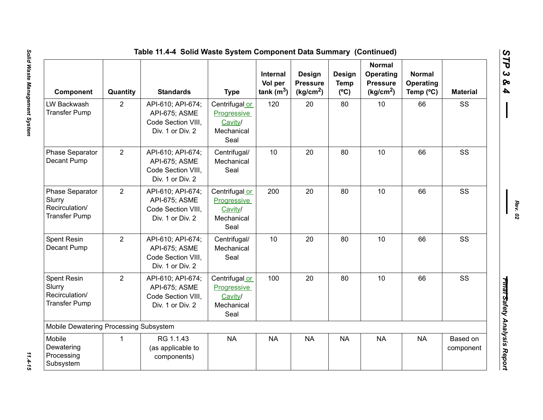| Component                                                           | Quantity       | <b>Standards</b>                                                             | <b>Type</b>                                                    | <b>Internal</b><br>Vol per<br>tank $(m^3)$ | Design<br><b>Pressure</b><br>(kg/cm <sup>2</sup> ) | <b>Design</b><br><b>Temp</b><br>$(^{\circ}C)$ | <b>Normal</b><br>Operating<br><b>Pressure</b><br>(kg/cm <sup>2</sup> ) | <b>Normal</b><br>Operating<br>Temp (°C) | <b>Material</b>       |
|---------------------------------------------------------------------|----------------|------------------------------------------------------------------------------|----------------------------------------------------------------|--------------------------------------------|----------------------------------------------------|-----------------------------------------------|------------------------------------------------------------------------|-----------------------------------------|-----------------------|
| LW Backwash<br><b>Transfer Pump</b>                                 | 2              | API-610; API-674;<br>API-675; ASME<br>Code Section VIII,<br>Div. 1 or Div. 2 | Centrifugal or<br>Progressive<br>Cavity/<br>Mechanical<br>Seal | 120                                        | 20                                                 | 80                                            | 10                                                                     | 66                                      | SS                    |
| Phase Separator<br>Decant Pump                                      | 2              | API-610; API-674;<br>API-675; ASME<br>Code Section VIII,<br>Div. 1 or Div. 2 | Centrifugal/<br>Mechanical<br>Seal                             | 10                                         | 20                                                 | 80                                            | 10                                                                     | 66                                      | SS                    |
| Phase Separator<br>Slurry<br>Recirculation/<br><b>Transfer Pump</b> | $\overline{2}$ | API-610; API-674;<br>API-675; ASME<br>Code Section VIII,<br>Div. 1 or Div. 2 | Centrifugal or<br>Progressive<br>Cavity/<br>Mechanical<br>Seal | 200                                        | 20                                                 | 80                                            | 10                                                                     | 66                                      | SS                    |
| Spent Resin<br>Decant Pump                                          | 2              | API-610; API-674;<br>API-675; ASME<br>Code Section VIII.<br>Div. 1 or Div. 2 | Centrifugal/<br>Mechanical<br>Seal                             | 10 <sup>°</sup>                            | 20                                                 | 80                                            | 10                                                                     | 66                                      | SS                    |
| Spent Resin<br>Slurry<br>Recirculation/<br><b>Transfer Pump</b>     | $\overline{2}$ | API-610; API-674;<br>API-675; ASME<br>Code Section VIII,<br>Div. 1 or Div. 2 | Centrifugal or<br>Progressive<br>Cavity/<br>Mechanical<br>Seal | 100                                        | 20                                                 | 80                                            | 10                                                                     | 66                                      | SS                    |
| Mobile Dewatering Processing Subsystem                              |                |                                                                              |                                                                |                                            |                                                    |                                               |                                                                        |                                         |                       |
| Mobile<br>Dewatering<br>Processing<br>Subsystem                     | 1              | RG 1.1.43<br>(as applicable to<br>components)                                | <b>NA</b>                                                      | <b>NA</b>                                  | <b>NA</b>                                          | <b>NA</b>                                     | <b>NA</b>                                                              | <b>NA</b>                               | Based on<br>component |

*STP 3 & 4*

 $11.4 - 15$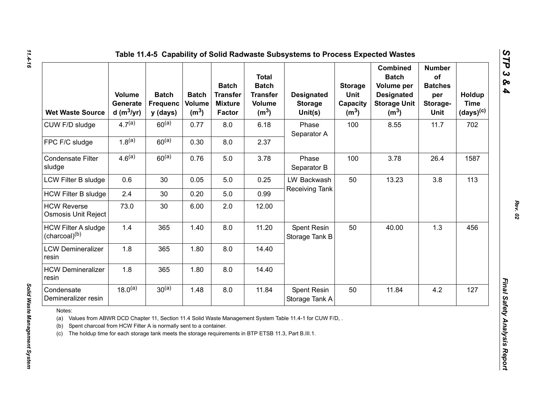|  |  |  | Table 11.4-5 Capability of Solid Radwaste Subsystems to Process Expected Wastes |
|--|--|--|---------------------------------------------------------------------------------|
|--|--|--|---------------------------------------------------------------------------------|

| <b>Wet Waste Source</b>                                                                                                                                                                                  | <b>Volume</b><br>Generate<br>d $(m^3/yr)$ | <b>Batch</b><br><b>Frequenc</b><br>y (days) | <b>Batch</b><br>Volume<br>(m <sup>3</sup> ) | <b>Batch</b><br><b>Transfer</b><br><b>Mixture</b><br>Factor | <b>Total</b><br><b>Batch</b><br><b>Transfer</b><br><b>Volume</b><br>(m <sup>3</sup> ) | <b>Designated</b><br><b>Storage</b><br>Unit(s)                                                          | <b>Storage</b><br>Unit<br>Capacity<br>(m <sup>3</sup> ) | <b>Combined</b><br><b>Batch</b><br>Volume per<br><b>Designated</b><br><b>Storage Unit</b><br>(m <sup>3</sup> ) | <b>Number</b><br>of<br><b>Batches</b><br>per<br>Storage-<br>Unit | Holdup<br><b>Time</b><br>$(days)^{(c)}$ |
|----------------------------------------------------------------------------------------------------------------------------------------------------------------------------------------------------------|-------------------------------------------|---------------------------------------------|---------------------------------------------|-------------------------------------------------------------|---------------------------------------------------------------------------------------|---------------------------------------------------------------------------------------------------------|---------------------------------------------------------|----------------------------------------------------------------------------------------------------------------|------------------------------------------------------------------|-----------------------------------------|
| CUW F/D sludge                                                                                                                                                                                           | $4.7^{(a)}$                               | $60^{(a)}$                                  | 0.77                                        | 8.0                                                         | 6.18                                                                                  | Phase<br>Separator A                                                                                    | 100                                                     | 8.55                                                                                                           | 11.7                                                             | 702                                     |
| FPC F/C sludge                                                                                                                                                                                           | $1.8^{(a)}$                               | $60^{(a)}$                                  | 0.30                                        | 8.0                                                         | 2.37                                                                                  |                                                                                                         |                                                         |                                                                                                                |                                                                  |                                         |
| <b>Condensate Filter</b><br>sludge                                                                                                                                                                       | $4.6^{(a)}$                               | $60^{(a)}$                                  | 0.76                                        | 5.0                                                         | 3.78                                                                                  | Phase<br>Separator B                                                                                    | 100                                                     | 3.78                                                                                                           | 26.4                                                             | 1587                                    |
| LCW Filter B sludge                                                                                                                                                                                      | 0.6                                       | 30                                          | 0.05                                        | 5.0                                                         | 0.25                                                                                  | LW Backwash                                                                                             | 50                                                      | 13.23                                                                                                          | 3.8                                                              | 113                                     |
| <b>HCW Filter B sludge</b>                                                                                                                                                                               | 2.4                                       | 30                                          | 0.20                                        | 5.0                                                         | 0.99                                                                                  | Receiving Tank                                                                                          |                                                         |                                                                                                                |                                                                  |                                         |
| <b>HCW Reverse</b><br>Osmosis Unit Reject                                                                                                                                                                | 73.0                                      | 30                                          | 6.00                                        | 2.0                                                         | 12.00                                                                                 |                                                                                                         |                                                         |                                                                                                                |                                                                  |                                         |
| <b>HCW Filter A sludge</b><br>(charcoal) <sup>(b)</sup>                                                                                                                                                  | 1.4                                       | 365                                         | 1.40                                        | 8.0                                                         | 11.20                                                                                 | Spent Resin<br>Storage Tank B                                                                           | 50                                                      | 40.00                                                                                                          | 1.3                                                              | 456                                     |
| <b>LCW Demineralizer</b><br>resin                                                                                                                                                                        | 1.8                                       | 365                                         | 1.80                                        | 8.0                                                         | 14.40                                                                                 |                                                                                                         |                                                         |                                                                                                                |                                                                  |                                         |
| <b>HCW Demineralizer</b><br>resin                                                                                                                                                                        | 1.8                                       | 365                                         | 1.80                                        | 8.0                                                         | 14.40                                                                                 |                                                                                                         |                                                         |                                                                                                                |                                                                  |                                         |
| Condensate<br>Demineralizer resin                                                                                                                                                                        | $18.0^{(a)}$                              | $30^{(a)}$                                  | 1.48                                        | 8.0                                                         | 11.84                                                                                 | Spent Resin<br>Storage Tank A                                                                           | 50                                                      | 11.84                                                                                                          | 4.2                                                              | 127                                     |
| Notes:<br>(a)<br>Spent charcoal from HCW Filter A is normally sent to a container.<br>(b)<br>The holdup time for each storage tank meets the storage requirements in BTP ETSB 11.3, Part B.III.1.<br>(c) |                                           |                                             |                                             |                                                             |                                                                                       | Values from ABWR DCD Chapter 11, Section 11.4 Solid Waste Management System Table 11.4-1 for CUW F/D, . |                                                         |                                                                                                                |                                                                  |                                         |

*Solid Waste Management System* 

Solid Waste Management System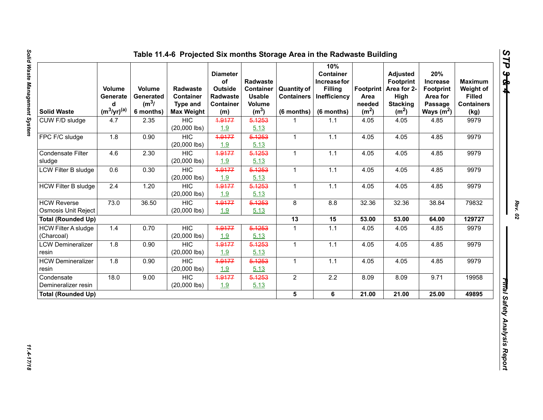| <b>Solid Waste</b>         | Volume<br>Generate<br>d<br>$(m^3/yr)^{(a)}$ | Volume<br>Generated<br>$(m^3)$<br>6 months) | Radwaste<br><b>Container</b><br><b>Type and</b><br><b>Max Weight</b> | <b>Diameter</b><br>of<br>Outside<br>Radwaste<br>Container<br>(m) | Radwaste<br><b>Container</b><br><b>Usable</b><br><b>Volume</b><br>(m <sup>3</sup> ) | <b>Quantity of</b><br><b>Containers</b><br>(6 months) | 10%<br><b>Container</b><br>Increase for<br><b>Filling</b><br>Inefficiency<br>(6 months) | Area<br>needed<br>(m <sup>2</sup> ) | <b>Adjusted</b><br>Footprint<br>Footprint   Area for 2-<br>High<br><b>Stacking</b><br>(m <sup>2</sup> ) | 20%<br>Increase<br><b>Footprint</b><br>Area for<br>Passage<br>Ways $(m^2)$ | <b>Maximum</b><br>Weight of<br><b>Filled</b><br><b>Containers</b><br>(kg) |
|----------------------------|---------------------------------------------|---------------------------------------------|----------------------------------------------------------------------|------------------------------------------------------------------|-------------------------------------------------------------------------------------|-------------------------------------------------------|-----------------------------------------------------------------------------------------|-------------------------------------|---------------------------------------------------------------------------------------------------------|----------------------------------------------------------------------------|---------------------------------------------------------------------------|
| CUW F/D sludge             | 4.7                                         | 2.35                                        | <b>HIC</b>                                                           | 4.9177                                                           | 5.1253                                                                              | 1                                                     | $1.1$                                                                                   | 4.05                                | 4.05                                                                                                    | 4.85                                                                       | 9979                                                                      |
|                            |                                             |                                             | $(20,000$ lbs)                                                       | 1.9                                                              | 5.13                                                                                |                                                       |                                                                                         |                                     |                                                                                                         |                                                                            |                                                                           |
| FPC F/C sludge             | 1.8                                         | 0.90                                        | <b>HIC</b>                                                           | 4.9177                                                           | 5.1253                                                                              | $\mathbf{1}$                                          | $1.1$                                                                                   | 4.05                                | 4.05                                                                                                    | 4.85                                                                       | 9979                                                                      |
|                            |                                             |                                             | $(20,000$ lbs)                                                       | 1.9                                                              | 5.13                                                                                |                                                       |                                                                                         |                                     |                                                                                                         |                                                                            |                                                                           |
| Condensate Filter          | 4.6                                         | 2.30                                        | <b>HIC</b>                                                           | 4.9177                                                           | 5.1253                                                                              | $\mathbf{1}$                                          | 1.1                                                                                     | 4.05                                | 4.05                                                                                                    | 4.85                                                                       | 9979                                                                      |
| sludge                     |                                             |                                             | $(20,000$ lbs)                                                       | 1.9                                                              | 5.13                                                                                |                                                       |                                                                                         |                                     |                                                                                                         |                                                                            |                                                                           |
| <b>LCW Filter B sludge</b> | 0.6                                         | 0.30                                        | <b>HIC</b>                                                           | 4.9177                                                           | 5.1253                                                                              | $\mathbf{1}$                                          | 1.1                                                                                     | 4.05                                | 4.05                                                                                                    | 4.85                                                                       | 9979                                                                      |
|                            |                                             |                                             | $(20,000$ lbs)                                                       | 1.9                                                              | 5.13                                                                                |                                                       |                                                                                         |                                     |                                                                                                         |                                                                            |                                                                           |
| <b>HCW Filter B sludge</b> | 2.4                                         | 1.20                                        | <b>HIC</b>                                                           | 4.9177                                                           | 5.1253                                                                              | $\mathbf{1}$                                          | 1.1                                                                                     | 4.05                                | 4.05                                                                                                    | 4.85                                                                       | 9979                                                                      |
|                            |                                             |                                             | $(20,000$ lbs)                                                       | 1.9                                                              | 5.13                                                                                |                                                       |                                                                                         |                                     |                                                                                                         |                                                                            |                                                                           |
| <b>HCW Reverse</b>         | 73.0                                        | 36.50                                       | HIC                                                                  | 4.9177                                                           | 5.1253                                                                              | 8                                                     | 8.8                                                                                     | 32.36                               | 32.36                                                                                                   | 38.84                                                                      | 79832                                                                     |
| <b>Osmosis Unit Reject</b> |                                             |                                             | $(20,000$ lbs)                                                       | 1.9                                                              | 5.13                                                                                |                                                       |                                                                                         |                                     |                                                                                                         |                                                                            |                                                                           |
| <b>Total (Rounded Up)</b>  |                                             |                                             |                                                                      |                                                                  |                                                                                     | 13                                                    | 15                                                                                      | 53.00                               | 53.00                                                                                                   | 64.00                                                                      | 129727                                                                    |
| <b>HCW Filter A sludge</b> | 1.4                                         | 0.70                                        | <b>HIC</b>                                                           | 4.9177                                                           | 5.1253                                                                              | $\mathbf{1}$                                          | 1.1                                                                                     | 4.05                                | 4.05                                                                                                    | 4.85                                                                       | 9979                                                                      |
| (Charcoal)                 |                                             |                                             | $(20,000$ lbs)                                                       | 1.9                                                              | 5.13                                                                                |                                                       |                                                                                         |                                     |                                                                                                         |                                                                            |                                                                           |
| <b>LCW Demineralizer</b>   | 1.8                                         | 0.90                                        | <b>HIC</b>                                                           | 4.9177                                                           | 5.1253                                                                              | $\mathbf{1}$                                          | $1.1$                                                                                   | 4.05                                | 4.05                                                                                                    | 4.85                                                                       | 9979                                                                      |
| resin                      |                                             |                                             | $(20,000$ lbs)                                                       | 1.9                                                              | 5.13                                                                                |                                                       |                                                                                         |                                     |                                                                                                         |                                                                            |                                                                           |
| <b>HCW Demineralizer</b>   | 1.8                                         | 0.90                                        | <b>HIC</b>                                                           | 4.9177                                                           | 5.1253                                                                              | $\overline{1}$                                        | 1.1                                                                                     | 4.05                                | 4.05                                                                                                    | 4.85                                                                       | 9979                                                                      |
| resin                      |                                             |                                             | $(20,000$ lbs)                                                       | 1.9                                                              | 5.13                                                                                |                                                       |                                                                                         |                                     |                                                                                                         |                                                                            |                                                                           |
| Condensate                 | 18.0                                        | 9.00                                        | <b>HIC</b>                                                           | 4.9177                                                           | 5.1253                                                                              | $\overline{2}$                                        | $2.2\,$                                                                                 | 8.09                                | 8.09                                                                                                    | 9.71                                                                       | 19958                                                                     |
| Demineralizer resin        |                                             |                                             | $(20,000$ lbs)                                                       | 1.9                                                              | 5.13                                                                                |                                                       |                                                                                         |                                     |                                                                                                         |                                                                            |                                                                           |
| <b>Total (Rounded Up)</b>  |                                             |                                             |                                                                      |                                                                  |                                                                                     | 5                                                     | 6                                                                                       | 21.00                               | 21.00                                                                                                   | 25.00                                                                      | 49895                                                                     |

*STP 3 & 4*